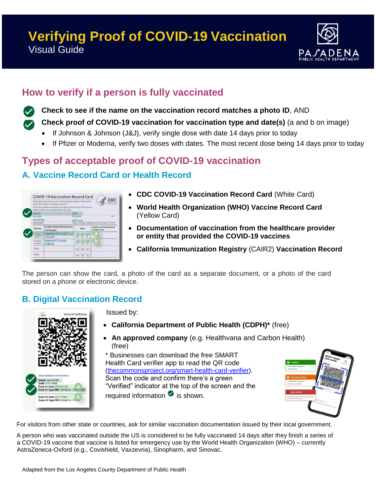# **Verifying Proof of COVID-19 Vaccination** Visual Guide



## **How to verify if a person is fully vaccinated**

**Check to see if the name on the vaccination record matches a photo ID**, AND

**Check proof of COVID-19 vaccination for vaccination type and date(s)** (a and b on image)

- If Johnson & Johnson (J&J), verify single dose with date 14 days prior to today
- If Pfizer or Moderna, verify two doses with dates. The most recent dose being 14 days prior to today

### **Types of acceptable proof of COVID-19 vaccination**

### **A. Vaccine Record Card or Health Record**

|                                          | Please keep this record card, which includes medical information<br>about the vaccines you have received.<br>Por favor, quarde esta tarieta de registro, que incluve información<br>médica sobre las vacunas que ha recibido. |                                     | CD(                                                       |
|------------------------------------------|-------------------------------------------------------------------------------------------------------------------------------------------------------------------------------------------------------------------------------|-------------------------------------|-----------------------------------------------------------|
| <b>SAITH</b>                             |                                                                                                                                                                                                                               | JANE                                |                                                           |
| Last Name<br>01/01/1960<br>Date of birth |                                                                                                                                                                                                                               | First Name<br>00123456              | M<br>Patient number (medical record or IIS record number) |
| Vaccine                                  | <b>Product Name/Manufacturer</b><br><b>Lot Number</b>                                                                                                                                                                         | Date                                | <b>Healthcare Professional</b><br>or Clinic Site          |
| 1 <sup>ii</sup> Dose<br>COVID-19         | MODERNA PEZIZER J+J<br>DOOADIB                                                                                                                                                                                                | 03/03/2021<br>mm<br>dd<br><b>VY</b> | $5 - 7$                                                   |
| 2 <sup>nd</sup> Dose<br>COVID-19         | MODERNA PFZIZER<br>OOIBOOR                                                                                                                                                                                                    | 701<br>17<br>dd<br>mm<br><b>VV</b>  | s.<br>۱ö                                                  |
| Other                                    |                                                                                                                                                                                                                               | mm<br>dd<br><b>VV</b>               |                                                           |
| Other                                    |                                                                                                                                                                                                                               | dd<br><b>VV</b><br>mm               |                                                           |

- **C CDC COVID-19 Vaccination Record Card** (White Card)
- **World Health Organization (WHO) Vaccine Record Card** (Yellow Card)
- **Documentation of vaccination from the healthcare provider or entity that provided the COVID-19 vaccines**
- **California Immunization Registry** (CAIR2) **Vaccination Record**

The person can show the card, a photo of the card as a separate document, or a photo of the card stored on a phone or electronic device.

#### **B. Digital Vaccination Record**



Issued by:

- **California Department of Public Health (CDPH)\*** (free)
- **An approved company** (e.g. Healthvana and Carbon Health) (free)

\* Businesses can download the free SMART Health Card verifier app to read the QR code [\(thecommonsproject.org/smart-health-card-verifier\)](https://thecommonsproject.org/smart-health-card-verifier). Scan the code and confirm there's a green "Verified" indicator at the top of the screen and the required information  $\bullet$  is shown.



For visitors from other state or countries, ask for similar vaccination documentation issued by their local government.

A person who was vaccinated outside the US is considered to be fully vaccinated 14 days after they finish a series of a COVID-19 vaccine that vaccine is listed for emergency use by the World Health Organization (WHO) – currently AstraZeneca-Oxford (e.g., Covishield, Vaxzevria), Sinopharm, and Sinovac.